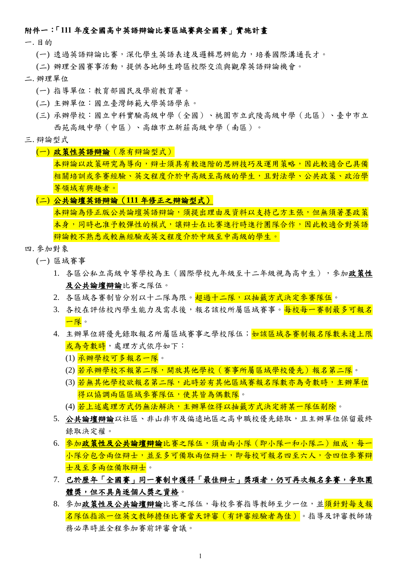### 附件一:「**111** 年度全國高中英語辯論比賽區域賽與全國賽」實施計畫

一. 目的

(一) 透過英語辯論比賽,深化學生英語表達及邏輯思辨能力,培養國際溝通長才。

(二) 辦理全國賽事活動,提供各地師生跨區校際交流與觀摩英語辯論機會。

#### 二. 辦理單位

- (一) 指導單位:教育部國民及學前教育署。
- (二) 主辦單位:國立臺灣師範大學英語學系。
- (三) 承辦學校:國立中科實驗高級中學(全國)、桃園市立武陵高級中學(北區)、臺中市立 西苑高級中學(中區)、高雄市立新莊高級中學(南區)。

#### 三. 辯論型式

#### (一) 政策性英語辯論(原有辯論型式)

本辯論以政策研究為導向,辯士須具有較進階的思辨技巧及運用策略,因此較適合已具備 相關培訓或參賽經驗、英文程度介於中高級至高級的學生,且對法學、公共政策、政治學 等領域有興趣者。

#### (二) 公共論壇英語辯論(**111** 年修正之辯論型式)

本辯論為修正版公共論壇英語辯論,須提出理由及資料以支持己方主張,但無須著墨政策 本身,同時也准予較彈性的模式,讓辯士在比賽進行時進行團隊合作,因此較適合對英語 辯論較不熟悉或較無經驗或英文程度介於中級至中高級的學生。

#### 四. 參加對象

- (一) 區域賽事
	- 1. 各區公私立高級中等學校為主(國際學校九年級至十二年級視為高中生),參加政策性 及公共論壇辯論比賽之隊伍。
	- 2. 各區域各賽制皆分別以十二隊為限。超過十二隊,以抽籤方式決定參賽隊伍。
	- 3. 各校在評估校內學生能力及需求後,報名該校所屬區域賽事。<mark>每校每一賽制最多可報名</mark> 一隊。
	- 4. 主辦單位將優先錄取報名所屬區域賽事之學校隊伍; 如該區域各賽制報名隊數未達上限 或為奇數時,處理方式依序如下:
		- (1) 承辦學校可多報名一隊。
		- (2) 若承辦學校不報第二隊,開放其他學校(賽事所屬區域學校優先)報名第二隊。
		- (3) 若無其他學校欲報名第二隊,此時若有其他區域賽報名隊數亦為奇數時,主辦單位 得以協調兩區區域參賽隊伍,使其皆為偶數隊。
		- (4) 若上述處理方式仍無法解決,主辦單位得以抽籤方式決定將某一隊伍剔除。
	- 5. 公共論壇辩論以社區、非山非市及偏遠地區之高中職校優先錄取,且主辦單位保留最終 錄取決定權。
	- 6. 參加政策性及公共論壇辯論比賽之隊伍,須由兩小隊(即小隊一和小隊二)組成,每一 小隊分包念兩位辯士,即每校可報名四至六人,含四位參賽辯 士及至多兩位備取辯士。
	- 7. 已於歷年「全國賽」同一賽制中獲得「最佳辯士」獎項者,仍可再次報名參賽,爭取團 體獎,但不具角逐個人獎之資格。
	- 8. 參加政策性及公共論壇辯論比賽之隊伍,每校參賽指導教師至少一位,並須針對每支報 名隊伍指派一位英文教師擔任比賽當天評審(有評審經驗者為佳)。指導及評審教師請 務必準時並全程參加賽前評審會議。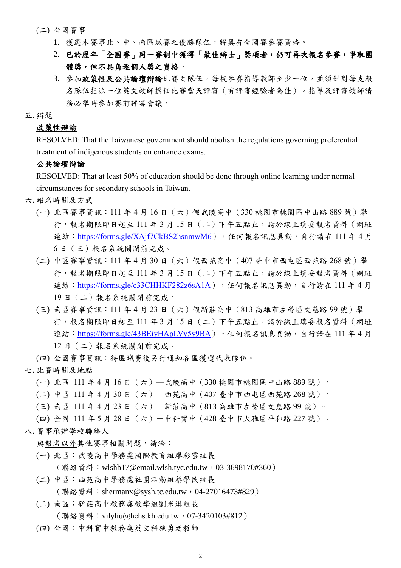#### (二) 全國賽事

- 1. 獲選本賽事北、中、南區域賽之優勝隊伍,將具有全國賽參賽資格。
- 2. 已於歷年「全國賽」同一賽制中獲得「最佳辯士」獎項者,仍可再次報名參賽,爭取團 體獎,但不具角逐個人獎之資格。
- 3. 參加政策性及公共論壇辯論比賽之隊伍,每校參賽指導教師至少一位,並須針對每支報 名隊伍指派一位英文教師擔任比賽當天評審(有評審經驗者為佳)。指導及評審教師請 務必準時參加賽前評審會議。
- 五. 辯題

### 政策性辯論

RESOLVED: That the Taiwanese government should abolish the regulations governing preferential treatment of indigenous students on entrance exams.

#### 公共論壇辯論

RESOLVED: That at least 50% of education should be done through online learning under normal circumstances for secondary schools in Taiwan.

- 六. 報名時間及方式
	- (一) 北區賽事資訊:111年4月16日 (六)假武陵高中 (330 桃園市桃園區中山路 889 號) 舉 行,報名期限即日起至 111 年 3 月 15 日(二)下午五點止,請於線上填妥報名資料(網址 連結: <https://forms.gle/XAjf7CkBS2hsnmwM6>),任何報名訊息異動,自行請在 111 年 4 月 6 日(三)報名系統關閉前完成。
	- (二) 中區賽事資訊:111 年 4 月 30 日(六)假西苑高中(407 臺中市西屯區西苑路 268 號)舉 行,報名期限即日起至111年3月15日 (二)下午五點止,請於線上填妥報名資料 (網址 連結: <https://forms.gle/c33CHHKF282z6sA1A>),任何報名訊息異動,自行請在 111 年 4 月 19 日(二)報名系統關閉前完成。
	- (三) 南區賽事資訊:111年4月23日 (六)假新莊高中 (813 高雄市左營區文慈路99號)舉 行,報名期限即日起至 111 年 3 月 15 日(二)下午五點止,請於線上填妥報名資料(網址 連結: <https://forms.gle/43BEiyHApLVv5y9BA>),任何報名訊息異動,自行請在 111 年 4 月 12 日(二)報名系統關閉前完成。
	- (四) 全國賽事資訊:待區域賽後另行通知各區獲選代表隊伍。
- 七. 比賽時間及地點
	- (一) 北區 111 年 4 月 16 日(六)—武陵高中(330 桃園市桃園區中山路 889 號)。
	- (二) 中區 111 年 4 月 30 日(六)—西苑高中(407 臺中市西屯區西苑路 268 號)。
	- (三) 南區 111 年 4 月 23 日(六)—新莊高中(813 高雄市左營區文慈路 99 號)。
	- (四) 全國 111 年 5 月 28 日(六)-中科實中(428 臺中市大雅區平和路 227 號)。
- 八. 賽事承辦學校聯絡人
	- 與報名以外其他賽事相關問題,請洽:
	- (一) 北區:武陵高中學務處國際教育組廖彩雲組長 (聯絡資料:wlshb17@email.wlsh.tyc.edu.tw,03-3698170#360)
	- (二) 中區:西苑高中學務處社團活動組蔡學民組長 (聯絡資料: shermanx@sysh.tc.edu.tw, 04-27016473#829)
	- (三) 南區:新莊高中教務處教學組劉米淇組長 (聯絡資料:vilyliu@hchs.kh.edu.tw,07-3420103#812)
	- (四) 全國:中科實中教務處英文科施勇廷教師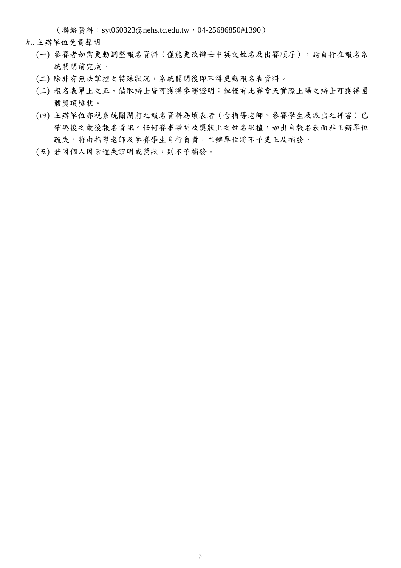(聯絡資料:syt060323@nehs.tc.edu.tw,04-25686850#1390)

- 九. 主辦單位免責聲明
	- (一) 參賽者如需更動調整報名資料 (僅能更改辯士中英文姓名及出賽順序),請自行在報名系 統關閉前完成。
	- (二) 除非有無法掌控之特殊狀況,系統關閉後即不得更動報名表資料。
	- (三) 報名表單上之正、備取辯士皆可獲得參賽證明;但僅有比賽當天實際上場之辯士可獲得團 體獎項獎狀。
	- (四) 主辦單位亦視系統關閉前之報名資料為填表者(含指導老師、參賽學生及派出之評審)已 確認後之最後報名資訊。任何賽事證明及獎狀上之姓名誤植,如出自報名表而非主辦單位 疏失,將由指導老師及參賽學生自行負責,主辦單位將不予更正及補發。
	- (五) 若因個人因素遺失證明或獎狀,則不予補發。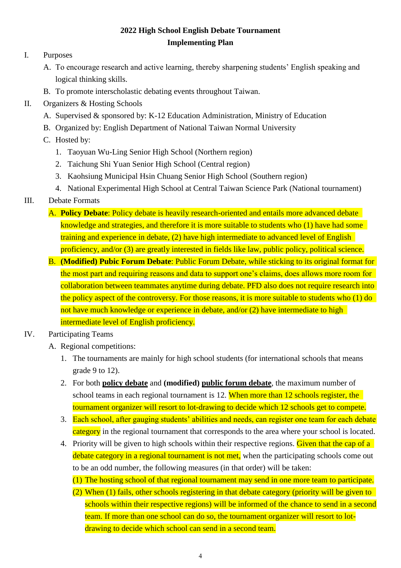## **2022 High School English Debate Tournament Implementing Plan**

## I. Purposes

- A. To encourage research and active learning, thereby sharpening students' English speaking and logical thinking skills.
- B. To promote interscholastic debating events throughout Taiwan.
- II. Organizers & Hosting Schools
	- A. Supervised & sponsored by: K-12 Education Administration, Ministry of Education
	- B. Organized by: English Department of National Taiwan Normal University
	- C. Hosted by:
		- 1. Taoyuan Wu-Ling Senior High School (Northern region)
		- 2. Taichung Shi Yuan Senior High School (Central region)
		- 3. Kaohsiung Municipal Hsin Chuang Senior High School (Southern region)
		- 4. National Experimental High School at Central Taiwan Science Park (National tournament)
- III. Debate Formats
	- A. **Policy Debate**: Policy debate is heavily research-oriented and entails more advanced debate knowledge and strategies, and therefore it is more suitable to students who (1) have had some training and experience in debate, (2) have high intermediate to advanced level of English proficiency, and/or (3) are greatly interested in fields like law, public policy, political science.
	- B. **(Modified) Pubic Forum Debate**: Public Forum Debate, while sticking to its original format for the most part and requiring reasons and data to support one's claims, does allows more room for collaboration between teammates anytime during debate. PFD also does not require research into the policy aspect of the controversy. For those reasons, it is more suitable to students who (1) do not have much knowledge or experience in debate, and/or (2) have intermediate to high intermediate level of English proficiency.
- IV. Participating Teams
	- A. Regional competitions:
		- 1. The tournaments are mainly for high school students (for international schools that means grade 9 to 12).
		- 2. For both **policy debate** and **(modified) public forum debate**, the maximum number of school teams in each regional tournament is 12. When more than 12 schools register, the tournament organizer will resort to lot-drawing to decide which 12 schools get to compete.
		- 3. Each school, after gauging students' abilities and needs, can register one team for each debate category in the regional tournament that corresponds to the area where your school is located.
		- 4. Priority will be given to high schools within their respective regions. Given that the cap of a debate category in a regional tournament is not met, when the participating schools come out to be an odd number, the following measures (in that order) will be taken:
			- (1) The hosting school of that regional tournament may send in one more team to participate.
			- (2) When (1) fails, other schools registering in that debate category (priority will be given to schools within their respective regions) will be informed of the chance to send in a second team. If more than one school can do so, the tournament organizer will resort to lotdrawing to decide which school can send in a second team.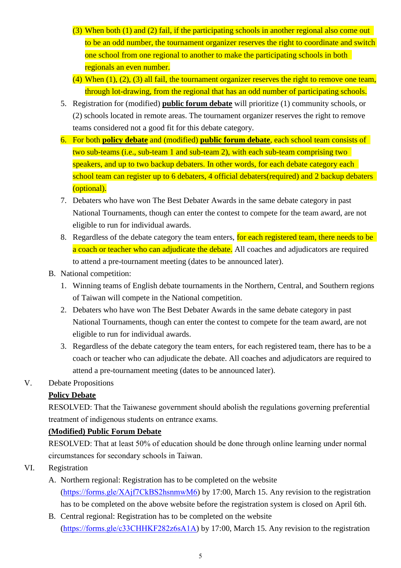- (3) When both (1) and (2) fail, if the participating schools in another regional also come out to be an odd number, the tournament organizer reserves the right to coordinate and switch one school from one regional to another to make the participating schools in both regionals an even number.
- $(4)$  When  $(1)$ ,  $(2)$ ,  $(3)$  all fail, the tournament organizer reserves the right to remove one team, through lot-drawing, from the regional that has an odd number of participating schools.
- 5. Registration for (modified) **public forum debate** will prioritize (1) community schools, or (2) schools located in remote areas. The tournament organizer reserves the right to remove teams considered not a good fit for this debate category.
- 6. For both **policy debate** and (modified) **public forum debate**, each school team consists of two sub-teams (i.e., sub-team 1 and sub-team 2), with each sub-team comprising two speakers, and up to two backup debaters. In other words, for each debate category each school team can register up to 6 debaters, 4 official debaters(required) and 2 backup debaters (optional).
- 7. Debaters who have won The Best Debater Awards in the same debate category in past National Tournaments, though can enter the contest to compete for the team award, are not eligible to run for individual awards.
- 8. Regardless of the debate category the team enters, for each registered team, there needs to be a coach or teacher who can adjudicate the debate. All coaches and adjudicators are required to attend a pre-tournament meeting (dates to be announced later).
- B. National competition:
	- 1. Winning teams of English debate tournaments in the Northern, Central, and Southern regions of Taiwan will compete in the National competition.
	- 2. Debaters who have won The Best Debater Awards in the same debate category in past National Tournaments, though can enter the contest to compete for the team award, are not eligible to run for individual awards.
	- 3. Regardless of the debate category the team enters, for each registered team, there has to be a coach or teacher who can adjudicate the debate. All coaches and adjudicators are required to attend a pre-tournament meeting (dates to be announced later).
- V. Debate Propositions

## **Policy Debate**

RESOLVED: That the Taiwanese government should abolish the regulations governing preferential treatment of indigenous students on entrance exams.

## **(Modified) Public Forum Debate**

RESOLVED: That at least 50% of education should be done through online learning under normal circumstances for secondary schools in Taiwan.

## VI. Registration

- A. Northern regional: Registration has to be completed on the website [\(https://forms.gle/XAjf7CkBS2hsnmwM6\)](https://forms.gle/XAjf7CkBS2hsnmwM6) by 17:00, March 15. Any revision to the registration has to be completed on the above website before the registration system is closed on April 6th.
- B. Central regional: Registration has to be completed on the website [\(https://forms.gle/c33CHHKF282z6sA1A\)](https://forms.gle/c33CHHKF282z6sA1A) by 17:00, March 15. Any revision to the registration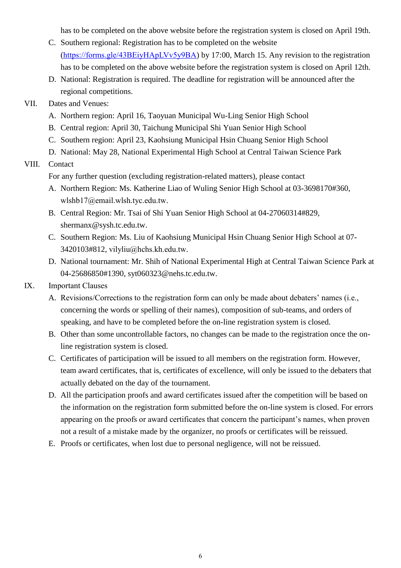has to be completed on the above website before the registration system is closed on April 19th.

- C. Southern regional: Registration has to be completed on the website [\(https://forms.gle/43BEiyHApLVv5y9BA\)](https://forms.gle/43BEiyHApLVv5y9BA) by 17:00, March 15. Any revision to the registration has to be completed on the above website before the registration system is closed on April 12th.
- D. National: Registration is required. The deadline for registration will be announced after the regional competitions.

### VII. Dates and Venues:

- A. Northern region: April 16, Taoyuan Municipal Wu-Ling Senior High School
- B. Central region: April 30, Taichung Municipal Shi Yuan Senior High School
- C. Southern region: April 23, Kaohsiung Municipal Hsin Chuang Senior High School
- D. National: May 28, National Experimental High School at Central Taiwan Science Park

### VIII. Contact

For any further question (excluding registration-related matters), please contact

- A. Northern Region: Ms. Katherine Liao of Wuling Senior High School at 03-3698170#360, wlshb17@email.wlsh.tyc.edu.tw.
- B. Central Region: Mr. Tsai of Shi Yuan Senior High School at 04-27060314#829, shermanx@sysh.tc.edu.tw.
- C. Southern Region: Ms. Liu of Kaohsiung Municipal Hsin Chuang Senior High School at 07- 3420103#812, vilyliu@hchs.kh.edu.tw.
- D. National tournament: Mr. Shih of National Experimental High at Central Taiwan Science Park at 04-25686850#1390, syt060323@nehs.tc.edu.tw.

### IX. Important Clauses

- A. Revisions/Corrections to the registration form can only be made about debaters' names (i.e., concerning the words or spelling of their names), composition of sub-teams, and orders of speaking, and have to be completed before the on-line registration system is closed.
- B. Other than some uncontrollable factors, no changes can be made to the registration once the online registration system is closed.
- C. Certificates of participation will be issued to all members on the registration form. However, team award certificates, that is, certificates of excellence, will only be issued to the debaters that actually debated on the day of the tournament.
- D. All the participation proofs and award certificates issued after the competition will be based on the information on the registration form submitted before the on-line system is closed. For errors appearing on the proofs or award certificates that concern the participant's names, when proven not a result of a mistake made by the organizer, no proofs or certificates will be reissued.
- E. Proofs or certificates, when lost due to personal negligence, will not be reissued.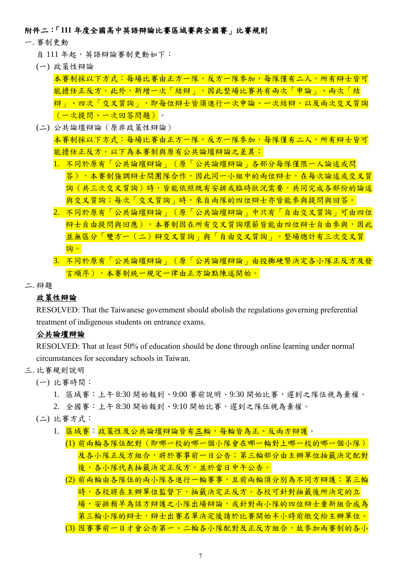### 附件二:「**111** 年度全國高中英語辯論比賽區域賽與全國賽」比賽規則

- 一. 賽制更動
	- 自111年起,英語辯論審制更動如下:
	- (一) 政策性辯論

本賽制採以下方式:每場比賽由正方一隊,反方一隊參加,每隊僅有二人,所有辯士皆可 能擔任正反方。此外,新增一次「結辯」,因此整場比賽共有兩次「申論」、兩次「結 辯」、四次「交叉質詢」,即每位辯士皆須進行一次申論、一次結辯,以及兩次交叉質詢 (一次提問、一次回答問題)。

(二) 公共論壇辯論(原非政策性辯論)

本賽制採以下方式:每場比賽由正方一隊,反方一隊參加,每隊僅有二人,所有辯士皆可 能擔任正反方。以下為本賽制與原有公共論壇辯論之差異:

- 1. 不同於原有「公共論壇辯論」(原「公共論壇辯論」各部分每隊僅限一人論述或問 答),本賽制強調辯士間團隊合作,因此同一小組中的兩位辯士,在每次論述或交叉質 詞(共三次交叉質詢)時,皆能依照既有安排或臨時狀況需要,共同完成各部份的論述 與交叉質詢;每次「交叉質詢」時,來自兩隊的四位辯士亦皆能參與提問與回答。
- 2. 不同於原有「公共論壇辯論」(原「公共論壇辯論」中只有「自由交叉質詢」可由四位 辩士自由提問與回應),本賽制因在所有交叉質詢環節皆能由四位辯士自由參與,因此 並無區分「雙方一(二)辯交叉質詢」與「自由交叉質詢」。整場總計有三次交叉質 詢。
- 3. 不同於原有「公共論壇辯論」(原「公共論壇辯論」由投擲硬幣決定各小隊正反方及發 言順序),本賽制統一規定一律由正方論點陳述開始。
- 二. 辯題

### 政策性辯論

RESOLVED: That the Taiwanese government should abolish the regulations governing preferential treatment of indigenous students on entrance exams.

### 公共論壇辯論

RESOLVED: That at least 50% of education should be done through online learning under normal circumstances for secondary schools in Taiwan.

- 三. 比賽規則說明
	- (一) 比賽時間:

1. 區域賽:上午 8:30 開始報到、9:00 賽前說明、9:30 開始比賽,遲到之隊伍視為棄權。 2. 全國賽:上午 8:30 開始報到、9:10 開始比賽,遲到之隊伍視為棄權。

- (二) 比賽方式:
	- 1. 區域賽:政策性及公共論壇辯論皆有三輪,每輪皆為正、反兩方辯護。
		- (1) 前兩輪各隊伍配對(即哪一校的哪一個小隊會在哪一輪對上哪一校的哪一個小隊) 及各小隊正反方組合,將於賽事前一日公告;第三輪部分由主辦單位抽籤決定配對 後,各小隊代表抽籤決定正反方,並於當日中午公告。
		- (2) 前兩輪由各隊伍的兩小隊各進行一輪賽事,且前兩輪須分別為不同方辯護;第三輪 時,各校將在主辦單位監督下,抽籤決定正反方。各校可針對抽籤後所決定的立 場,安排稍早為該方辯護之小隊出場辯論,或針對兩小隊的四位辯士重新組合成為 第三輪小隊的辯士,辯士出賽名單決定後請於比賽開始半小時前繳交給主辦單位。
		- (3) 因審事前一日才會公告第一、二輪各小隊配對及正反方組合,故參加兩審制的各小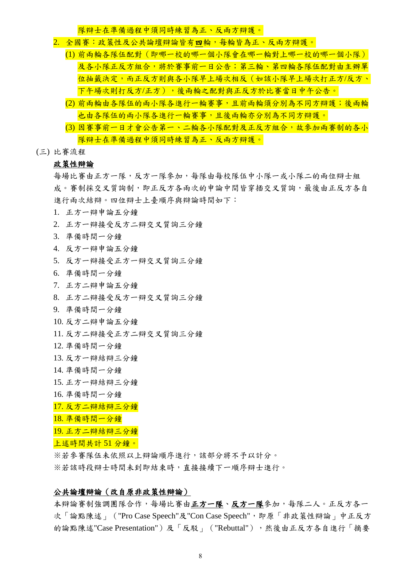隊辯士在準備過程中須同時練習為正、反兩方辯護。

- 2. 全國賽:政策性及公共論壇辯論皆有四輪,每輪皆為正、反兩方辯護。
	- (1) 前兩輪各隊伍配對(即哪一校的哪一個小隊會在哪一輪對上哪一校的哪一個小隊) 及各小隊正反方組合,將於賽事前一日公告;第三輪、第四輪各隊伍配對由主辦單 位抽籤決定,而正反方則與各小隊早上場次相反(如該小隊早上場次打正方/反方、 下午場次則打反方/正方),後兩輪之配對與正反方於比賽當日中午公告。
		- (2) 前兩輪由各隊伍的兩小隊各進行一輪賽事,且前兩輪須分別為不同方辯護;後兩輪 也由各隊伍的兩小隊各進行一輪賽事,且後兩輪亦分別為不同方辯護。
		- (3) 因賽事前一日才會公告第一、二輪各小隊配對及正反方組合,故參加兩賽制的各小 隊辯士在準備過程中須同時練習為正、反兩方辯護。
- (三) 比賽流程

#### 政策性辯論

每場比賽由正方一隊,反方一隊參加,每隊由每校隊伍中小隊一或小隊二的兩位辯士組 成。賽制採交叉質詢制,即正反方各兩次的申論中間皆穿插交叉質詢,最後由正反方各自 進行兩次結辯。四位辯士上臺順序與辯論時間如下:

- 1. 正方一辯申論五分鐘
- 2. 正方一辯接受反方二辯交叉質詢三分鐘
- 3. 準備時間一分鐘
- 4. 反方一辯申論五分鐘
- 5. 反方一辯接受正方一辯交叉質詢三分鐘
- 6. 準備時間一分鐘
- 7. 正方二辯申論五分鐘
- 8. 正方二辯接受反方一辯交叉質詢三分鐘
- 9. 準備時間一分鐘
- 10. 反方二辯申論五分鐘
- 11. 反方二辯接受正方二辯交叉質詢三分鐘
- 12. 準備時間一分鐘
- 13. 反方一辯結辯三分鐘
- 14. 準備時間一分鐘
- 15. 正方一辯結辯三分鐘
- 16. 準備時間一分鐘
- 17. 反方二辯結辯三分鐘
- 18. 準備時間一分鐘
- 19. 正方二辯結辯三分鐘
- 上述時間共計 51 分鐘。

※若參賽隊伍未依照以上辯論順序進行,該部分將不予以計分。 ※若該時段辯士時間未到即結束時,直接接續下一順序辯士進行。

#### 公共論壇辯論(改自原非政策性辯論)

本辯論賽制強調團隊合作,每場比賽由正方一隊、反方一隊參加,每隊二人。正反方各一 次「論點陳述」("Pro Case Speech"及"Con Case Speech",即原「非政策性辯論」中正反方 的論點陳述"Case Presentation")及「反駁」("Rebuttal"),然後由正反方各自進行「摘要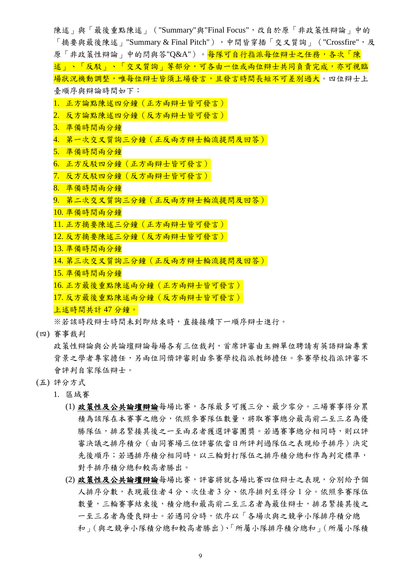陳述」與「最後重點陳述」("Summary"與"Final Focus",改自於原「非政策性辯論」中的 「摘要與最後陳述」"Summary & Final Pitch"),中間皆穿插「交叉質詢」("Crossfire",及 原「非政策性辯論」中的問與答"Q&A")。每隊可自行指派每位辯士之任務,各次「陳 述」、「反駁」、「交叉質詢」等部分,可各由一位或兩位辯士共同負責完成,亦可視臨 場狀況機動調整,唯每位辯士皆須上場發言,且發言時間長短不可差別過大。四位辯士上 臺順序與辯論時間如下: 1. 正方論點陳述四分鐘(正方兩辯士皆可發言) 2. 反方論點陳述四分鐘(反方兩辯士皆可發言) 3. 準備時間兩分鐘 4. 第一次交叉質詢三分鐘 (正反兩方辯士輪流提問及回答) 5. 準備時間兩分鐘 6. 正方反駁四分鐘(正方兩辯士皆可發言) 7. 反方反駁四分鐘(反方兩辯士皆可發言) 8. 準備時間兩分鐘 9. 第二次交叉質詢三分鐘 (正反兩方辯士輪流提問及回答) 10. 準備時間兩分鐘 11. 正方摘要陳述三分鐘(正方兩辯士皆可發言) 12. 反方摘要陳述三分鐘(反方兩辯士皆可發言) 13. 準備時間兩分鐘 14. 第三次交叉質詢三分鐘 (正反兩方辯士輪流提問及回答) 15. 準備時間兩分鐘 16. 正方最後重點陳述兩分鐘(正方兩辯士皆可發言) 17. 反方最後重點陳述兩分鐘(反方兩辯士皆可發言) 上述時間共計 47 分鐘。 ※若該時段辯士時間未到即結束時,直接接續下一順序辯士進行。

(四) 賽事裁判

政策性辯論與公共論壇辯論每場各有三位裁判,首席評審由主辦單位聘請有英語辯論專業 背景之學者專家擔任,另兩位同儕評審則由參賽學校指派教師擔任。參賽學校指派評審不 會評判自家隊伍辯士。

- (五) 評分方式
	- 1. 區域賽
		- (1) 政策性及公共論壇辯論每場比賽,各隊最多可獲三分、最少零分。三場賽事得分累 積為該隊在本賽事之總分,依照參賽隊伍數量,將取賽事總分最高前二至三名為優 勝隊伍,排名緊接其後之一至兩名者獲選評審團獎。若遇賽事總分相同時,則以評 審決議之排序積分(由同賽場三位評審依當日所評判過隊伍之表現給予排序)決定 先後順序;若遇排序積分相同時,以三輪對打隊伍之排序積分總和作為判定標準, 對手排序積分總和較高者勝出。
		- (2) 政策性及公共論壇辯論每場比賽,評審將就各場比賽四位辯士之表現,分別給予個 人排序分數,表現最佳者 4 分、次佳者 3 分、依序排列至得分 1 分。依照參賽隊伍 數量,三輪賽事結束後,積分總和最高前二至三名者為最佳辯士,排名緊接其後之 一至三名者為優良辯士。若遇同分時,依序以「各場次與之競爭小隊排序積分總 和」(與之競爭小隊積分總和較高者勝出)、「所屬小隊排序積分總和」(所屬小隊積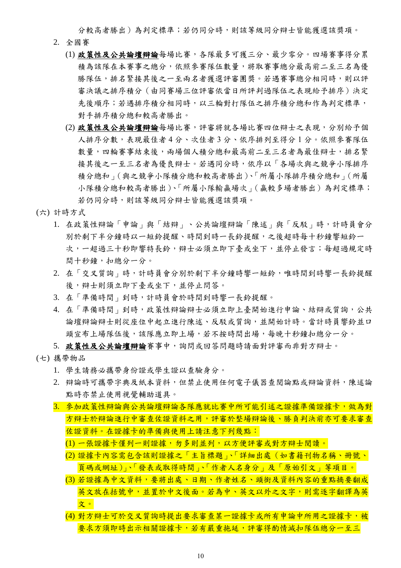分較高者勝出)為判定標準;若仍同分時,則該等級同分辯士皆能獲選該獎項。

- 2. 全國賽
	- (1) 政策性及公共論壇辯論每場比賽,各隊最多可獲三分、最少零分。四場賽事得分累 積為該隊在本賽事之總分,依照參賽隊伍數量,將取賽事總分最高前二至三名為優 勝隊伍,排名緊接其後之一至兩名者獲選評審團獎。若遇賽事總分相同時,則以評 審決議之排序積分(由同賽場三位評審依當日所評判過隊伍之表現給予排序)決定 先後順序;若遇排序積分相同時,以三輪對打隊伍之排序積分總和作為判定標準, 對手排序積分總和較高者勝出。
	- (2) 政策性及公共論壇辯論每場比賽,評審將就各場比賽四位辯士之表現,分別給予個 人排序分數,表現最佳者 4 分、次佳者 3 分、依序排列至得分 1 分。依照參賽隊伍 數量,四輪賽事結束後,兩場個人積分總和最高前二至三名者為最佳辯士,排名緊 接其後之一至三名者為優良辯士。若遇同分時,依序以「各場次與之競爭小隊排序 積分總和」(與之競爭小隊積分總和較高者勝出)、「所屬小隊排序積分總和」(所屬 小隊積分總和較高者勝出)、「所屬小隊輸贏場次」(贏較多場者勝出)為判定標準; 若仍同分時,則該等級同分辯士皆能獲選該獎項。
- (六) 計時方式
	- 1. 在政策性辯論「申論」與「結辯」、公共論壇辯論「陳述」與「反駁」時,計時員會分 別於剩下半分鐘時以一短鈴提醒、時間到時一長鈴提醒,之後超時每十秒鐘響短鈴一 次,一超過三十秒即響特長鈴,辯士必須立即下臺或坐下,並停止發言;每超過規定時 間十秒鐘,扣總分一分。
	- 2. 在「交叉質詢」時,計時員會分別於剩下半分鐘時響一短鈴,唯時間到時響一長鈴提醒 後,辯士則須立即下臺或坐下,並停止問答。
	- 3. 在「準備時間」到時,計時員會於時間到時響一長鈴提醒。
	- 4. 在「準備時間」到時,政策性辯論辯士必須立即上臺開始進行申論、結辯或質詢,公共 論壇辯論辯士則從座位中起立進行陳述、反駁或質詢,並開始計時。當計時員響鈴並口 頭宣布上場隊伍後,該隊應立即上場,若不按時間出場,每晚十秒鐘扣總分一分。

5. 政策性及公共論壇辯論審事中,詢問或回答問題時請面對評審而非對方辯士。

- (七) 攜帶物品
	- 1. 學生請務必攜帶身份證或學生證以查驗身分。
	- 2. 辯論時可攜帶字典及紙本資料,但禁止使用任何電子儀器查閱論點或辯論資料,陳述論 點時亦禁止使用視覺輔助道具。
	- 3. 參加政策性辯論與公共論壇辯論各隊應就比賽中所可能引述之證據準備證據卡,做為對 方辯士於辯論進行中審查佐證資料之用,評審於整場辯論後、勝負判決前亦可要求審查 佐證資料。在證據卡的準備與使用上請注意下列幾點:
		- (1) 一張證據卡僅列一則證據,勿多則並列,以方便評審或對方辯士閱讀。
		- (2) 證據卡內容需包含該則證據之「主旨標題」、「詳細出處(如書籍刊物名稱、冊號、 頁碼或網址)」、「發表或取得時間」、「作者人名身分」及「原始引文」等項目。
		- (3) 若證據為中文資料,要將出處、日期、作者姓名、頭銜及資料內容的重點摘要翻成 英文放在括號中,並置於中文後面。若為中、英文以外之文字,則需逐字翻譯為英 文。
		- (4) 對方辯士可於交叉質詢時提出要求審查某一證據卡或所有申論中所用之證據卡,被 要求方須即時出示相關證據卡,若有嚴重拖延,評審得酌情減扣隊伍總分一至三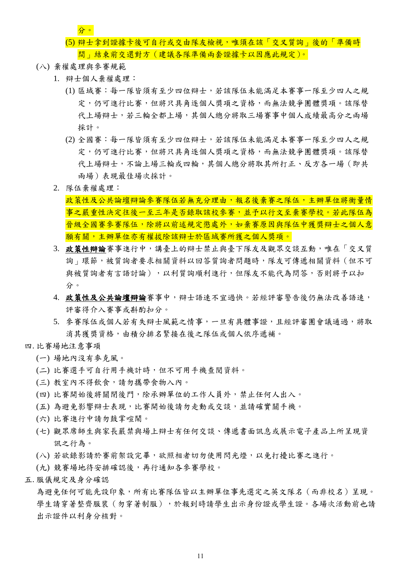分。

- (5) 辯士拿到證據卡後可自行或交由隊友檢視,唯須在該「交叉質詢」後的「準備時 間」結束前交還對方(建議各隊準備兩套證據卡以因應此規定)。
- (八) 棄權處理與參賽規範
	- 1. 辯士個人棄權處理:
		- (1) 區域賽:每一隊皆須有至少四位辯士,若該隊伍未能滿足本賽事一隊至少四人之規 定,仍可進行比審,但將只具角逐個人獎項之資格,而無法競爭團體獎項。該隊替 代上場辯十,若三輪全都上場,其個人總分將取三場賽事中個人成績最高分之兩場 採計。
		- (2) 全國賽:每一隊皆須有至少四位辯士,若該隊伍未能滿足本賽事一隊至少四人之規 定,仍可進行比審,但將只具角逐個人獎項之資格,而無法競爭團體獎項。該隊替 代上場辯士,不論上場三輪或四輪,其個人總分將取其所打正、反方各一場(即共 兩場)表現最佳場次採計。
	- 2. 隊伍棄權處理:

政策性及公共論壇辯念審隊伍若無充分理由,報名後棄審之隊伍,主辦單位將衡量情 事之嚴重性決定往後一至三年是否錄取該校參賽,並予以行文至棄賽學校。若此隊伍為 晉級全國賽參賽隊伍,除將以前述規定懲處外,如棄賽原因與隊伍中獲獎辯士之個人意 **願有關,主辦單位亦有權拔除該辯士於區域賽所獲之個人獎項。** 

- 3. 政策性辯論賽事進行中,講臺上的辯士禁止與臺下隊友及觀眾交談互動,唯在「交叉質 詢」環節,被質詢者要求相關資料以回答質詢者問題時,隊友可傳遞相關資料(但不可 與被質詢者有言語討論),以利質詢順利進行,但隊友不能代為問答,否則將予以扣 分。
- 4. 政策性及公共論壇辩論賽事中,辯士語速不宜過快。若經評審警告後仍無法改善語速, 評審得介入賽事或斟酌扣分。
- 5. 參賽隊伍或個人若有失辯士風範之情事,一旦有具體事證,且經評審團會議通過,將取 消其獲獎資格,由積分排名緊接在後之隊伍或個人依序遞補。
- 四. 比賽場地注意事項
	- (一) 場地內沒有麥克風。
	- (二) 比賽選手可自行用手機計時,但不可用手機查閱資料。
	- (三) 教室內不得飲食,請勿攜帶食物入內。
	- (四) 比賽開始後將關閉後門,除承辦單位的工作人員外,禁止任何人出入。
	- (五) 為避免影響辯士表現,比賽開始後請勿走動或交談,並請確實關手機。
	- (六) 比賽進行中請勿鼓掌喧鬧。
	- (七) 觀眾席師生與家長嚴禁與場上辯士有任何交談、傳遞書面訊息或展示電子產品上所呈現資 訊之行為。
	- (八) 若欲錄影請於賽前架設完畢,欲照相者切勿使用閃光燈,以免打擾比賽之進行。
	- (九) 競賽場地待安排確認後,再行通知各參賽學校。
- 五. 服儀規定及身分確認

為避免任何可能先設印象,所有比賽隊伍皆以主辦單位事先選定之英文隊名(而非校名)呈現。 學生請穿著整齊服裝(勿穿著制服),於報到時請學生出示身份證或學生證。各場次活動前也請 出示證件以利身分核對。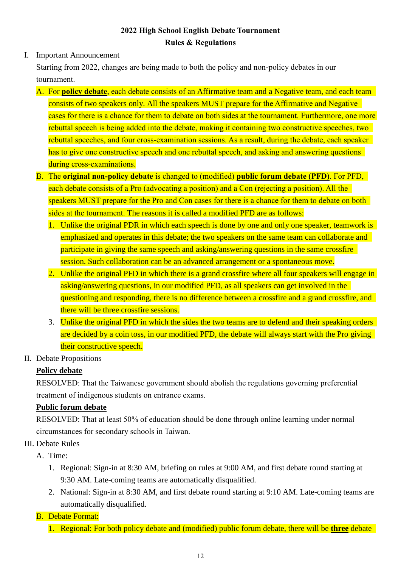# **2022 High School English Debate Tournament Rules & Regulations**

I. Important Announcement

Starting from 2022, changes are being made to both the policy and non-policy debates in our tournament.

- A. For **policy debate**, each debate consists of an Affirmative team and a Negative team, and each team consists of two speakers only. All the speakers MUST prepare for the Affirmative and Negative cases for there is a chance for them to debate on both sides at the tournament. Furthermore, one more rebuttal speech is being added into the debate, making it containing two constructive speeches, two rebuttal speeches, and four cross-examination sessions. As a result, during the debate, each speaker has to give one constructive speech and one rebuttal speech, and asking and answering questions during cross-examinations.
- B. The **original non-policy debate** is changed to (modified) **public forum debate (PFD)**. For PFD, each debate consists of a Pro (advocating a position) and a Con (rejecting a position). All the speakers MUST prepare for the Pro and Con cases for there is a chance for them to debate on both sides at the tournament. The reasons it is called a modified PFD are as follows:
	- 1. Unlike the original PDR in which each speech is done by one and only one speaker, teamwork is emphasized and operates in this debate; the two speakers on the same team can collaborate and participate in giving the same speech and asking/answering questions in the same crossfire session. Such collaboration can be an advanced arrangement or a spontaneous move.
	- 2. Unlike the original PFD in which there is a grand crossfire where all four speakers will engage in asking/answering questions, in our modified PFD, as all speakers can get involved in the questioning and responding, there is no difference between a crossfire and a grand crossfire, and there will be three crossfire sessions.
	- 3. Unlike the original PFD in which the sides the two teams are to defend and their speaking orders are decided by a coin toss, in our modified PFD, the debate will always start with the Pro giving their constructive speech.
- II. Debate Propositions

# **Policy debate**

RESOLVED: That the Taiwanese government should abolish the regulations governing preferential treatment of indigenous students on entrance exams.

# **Public forum debate**

RESOLVED: That at least 50% of education should be done through online learning under normal circumstances for secondary schools in Taiwan.

III. Debate Rules

A. Time:

- 1. Regional: Sign-in at 8:30 AM, briefing on rules at 9:00 AM, and first debate round starting at 9:30 AM. Late-coming teams are automatically disqualified.
- 2. National: Sign-in at 8:30 AM, and first debate round starting at 9:10 AM. Late-coming teams are automatically disqualified.

# B. Debate Format:

1. Regional: For both policy debate and (modified) public forum debate, there will be **three** debate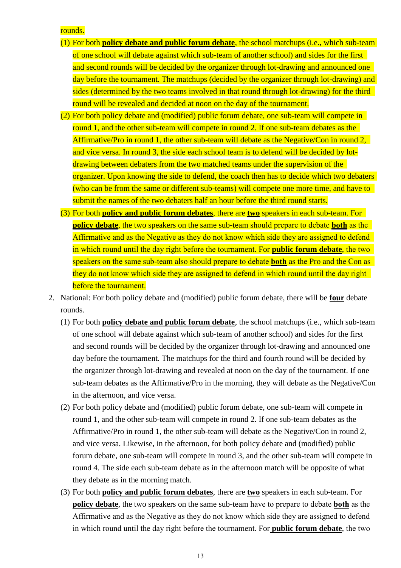rounds.

- (1) For both **policy debate and public forum debate**, the school matchups (i.e., which sub-team of one school will debate against which sub-team of another school) and sides for the first and second rounds will be decided by the organizer through lot-drawing and announced one day before the tournament. The matchups (decided by the organizer through lot-drawing) and sides (determined by the two teams involved in that round through lot-drawing) for the third round will be revealed and decided at noon on the day of the tournament.
- (2) For both policy debate and (modified) public forum debate, one sub-team will compete in round 1, and the other sub-team will compete in round 2. If one sub-team debates as the Affirmative/Pro in round 1, the other sub-team will debate as the Negative/Con in round 2, and vice versa. In round 3, the side each school team is to defend will be decided by lotdrawing between debaters from the two matched teams under the supervision of the organizer. Upon knowing the side to defend, the coach then has to decide which two debaters (who can be from the same or different sub-teams) will compete one more time, and have to submit the names of the two debaters half an hour before the third round starts.
- (3) For both **policy and public forum debates**, there are **two** speakers in each sub-team. For **policy debate**, the two speakers on the same sub-team should prepare to debate **both** as the Affirmative and as the Negative as they do not know which side they are assigned to defend in which round until the day right before the tournament. For **public forum debate**, the two speakers on the same sub-team also should prepare to debate **both** as the Pro and the Con as they do not know which side they are assigned to defend in which round until the day right before the tournament.
- 2. National: For both policy debate and (modified) public forum debate, there will be **four** debate rounds.
	- (1) For both **policy debate and public forum debate**, the school matchups (i.e., which sub-team of one school will debate against which sub-team of another school) and sides for the first and second rounds will be decided by the organizer through lot-drawing and announced one day before the tournament. The matchups for the third and fourth round will be decided by the organizer through lot-drawing and revealed at noon on the day of the tournament. If one sub-team debates as the Affirmative/Pro in the morning, they will debate as the Negative/Con in the afternoon, and vice versa.
	- (2) For both policy debate and (modified) public forum debate, one sub-team will compete in round 1, and the other sub-team will compete in round 2. If one sub-team debates as the Affirmative/Pro in round 1, the other sub-team will debate as the Negative/Con in round 2, and vice versa. Likewise, in the afternoon, for both policy debate and (modified) public forum debate, one sub-team will compete in round 3, and the other sub-team will compete in round 4. The side each sub-team debate as in the afternoon match will be opposite of what they debate as in the morning match.
	- (3) For both **policy and public forum debates**, there are **two** speakers in each sub-team. For **policy debate**, the two speakers on the same sub-team have to prepare to debate **both** as the Affirmative and as the Negative as they do not know which side they are assigned to defend in which round until the day right before the tournament. For **public forum debate**, the two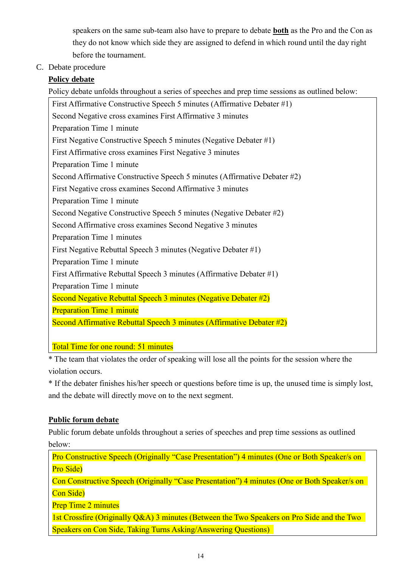speakers on the same sub-team also have to prepare to debate **both** as the Pro and the Con as they do not know which side they are assigned to defend in which round until the day right before the tournament.

C. Debate procedure

# **Policy debate**

Policy debate unfolds throughout a series of speeches and prep time sessions as outlined below:

First Affirmative Constructive Speech 5 minutes (Affirmative Debater #1) Second Negative cross examines First Affirmative 3 minutes Preparation Time 1 minute First Negative Constructive Speech 5 minutes (Negative Debater #1) First Affirmative cross examines First Negative 3 minutes Preparation Time 1 minute Second Affirmative Constructive Speech 5 minutes (Affirmative Debater #2) First Negative cross examines Second Affirmative 3 minutes Preparation Time 1 minute Second Negative Constructive Speech 5 minutes (Negative Debater #2) Second Affirmative cross examines Second Negative 3 minutes Preparation Time 1 minutes First Negative Rebuttal Speech 3 minutes (Negative Debater #1) Preparation Time 1 minute First Affirmative Rebuttal Speech 3 minutes (Affirmative Debater #1) Preparation Time 1 minute Second Negative Rebuttal Speech 3 minutes (Negative Debater #2) Preparation Time 1 minute Second Affirmative Rebuttal Speech 3 minutes (Affirmative Debater #2)

Total Time for one round: 51 minutes

\* The team that violates the order of speaking will lose all the points for the session where the violation occurs.

\* If the debater finishes his/her speech or questions before time is up, the unused time is simply lost, and the debate will directly move on to the next segment.

# **Public forum debate**

Public forum debate unfolds throughout a series of speeches and prep time sessions as outlined below:

Pro Constructive Speech (Originally "Case Presentation") 4 minutes (One or Both Speaker/s on Pro Side) Con Constructive Speech (Originally "Case Presentation") 4 minutes (One or Both Speaker/s on Con Side)

Prep Time 2 minutes

1st Crossfire (Originally Q&A) 3 minutes (Between the Two Speakers on Pro Side and the Two Speakers on Con Side, Taking Turns Asking/Answering Questions)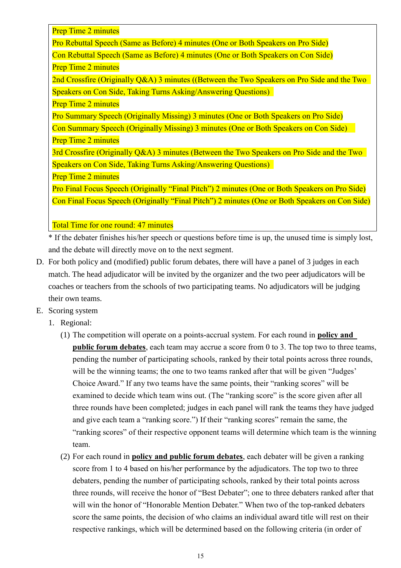Prep Time 2 minutes

Pro Rebuttal Speech (Same as Before) 4 minutes (One or Both Speakers on Pro Side)

Con Rebuttal Speech (Same as Before) 4 minutes (One or Both Speakers on Con Side) Prep Time 2 minutes

2nd Crossfire (Originally Q&A) 3 minutes ((Between the Two Speakers on Pro Side and the Two Speakers on Con Side, Taking Turns Asking/Answering Questions)

Prep Time 2 minutes

Pro Summary Speech (Originally Missing) 3 minutes (One or Both Speakers on Pro Side)

Con Summary Speech (Originally Missing) 3 minutes (One or Both Speakers on Con Side) Prep Time 2 minutes

3rd Crossfire (Originally Q&A) 3 minutes (Between the Two Speakers on Pro Side and the Two Speakers on Con Side, Taking Turns Asking/Answering Questions)

Prep Time 2 minutes

Pro Final Focus Speech (Originally "Final Pitch") 2 minutes (One or Both Speakers on Pro Side) Con Final Focus Speech (Originally "Final Pitch") 2 minutes (One or Both Speakers on Con Side)

Total Time for one round: 47 minutes

\* If the debater finishes his/her speech or questions before time is up, the unused time is simply lost, and the debate will directly move on to the next segment.

- D. For both policy and (modified) public forum debates, there will have a panel of 3 judges in each match. The head adjudicator will be invited by the organizer and the two peer adjudicators will be coaches or teachers from the schools of two participating teams. No adjudicators will be judging their own teams.
- E. Scoring system
	- 1. Regional:
		- (1) The competition will operate on a points-accrual system. For each round in **policy and public forum debates**, each team may accrue a score from 0 to 3. The top two to three teams, pending the number of participating schools, ranked by their total points across three rounds, will be the winning teams; the one to two teams ranked after that will be given "Judges" Choice Award." If any two teams have the same points, their "ranking scores" will be examined to decide which team wins out. (The "ranking score" is the score given after all three rounds have been completed; judges in each panel will rank the teams they have judged and give each team a "ranking score.") If their "ranking scores" remain the same, the "ranking scores" of their respective opponent teams will determine which team is the winning team.
		- (2) For each round in **policy and public forum debates**, each debater will be given a ranking score from 1 to 4 based on his/her performance by the adjudicators. The top two to three debaters, pending the number of participating schools, ranked by their total points across three rounds, will receive the honor of "Best Debater"; one to three debaters ranked after that will win the honor of "Honorable Mention Debater." When two of the top-ranked debaters score the same points, the decision of who claims an individual award title will rest on their respective rankings, which will be determined based on the following criteria (in order of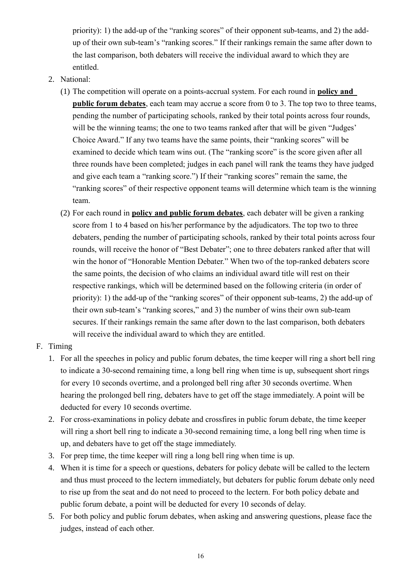priority): 1) the add-up of the "ranking scores" of their opponent sub-teams, and 2) the addup of their own sub-team's "ranking scores." If their rankings remain the same after down to the last comparison, both debaters will receive the individual award to which they are entitled.

- 2. National:
	- (1) The competition will operate on a points-accrual system. For each round in **policy and public forum debates**, each team may accrue a score from 0 to 3. The top two to three teams, pending the number of participating schools, ranked by their total points across four rounds, will be the winning teams; the one to two teams ranked after that will be given "Judges' Choice Award." If any two teams have the same points, their "ranking scores" will be examined to decide which team wins out. (The "ranking score" is the score given after all three rounds have been completed; judges in each panel will rank the teams they have judged and give each team a "ranking score.") If their "ranking scores" remain the same, the "ranking scores" of their respective opponent teams will determine which team is the winning team.
	- (2) For each round in **policy and public forum debates**, each debater will be given a ranking score from 1 to 4 based on his/her performance by the adjudicators. The top two to three debaters, pending the number of participating schools, ranked by their total points across four rounds, will receive the honor of "Best Debater"; one to three debaters ranked after that will win the honor of "Honorable Mention Debater." When two of the top-ranked debaters score the same points, the decision of who claims an individual award title will rest on their respective rankings, which will be determined based on the following criteria (in order of priority): 1) the add-up of the "ranking scores" of their opponent sub-teams, 2) the add-up of their own sub-team's "ranking scores," and 3) the number of wins their own sub-team secures. If their rankings remain the same after down to the last comparison, both debaters will receive the individual award to which they are entitled.
- F. Timing
	- 1. For all the speeches in policy and public forum debates, the time keeper will ring a short bell ring to indicate a 30-second remaining time, a long bell ring when time is up, subsequent short rings for every 10 seconds overtime, and a prolonged bell ring after 30 seconds overtime. When hearing the prolonged bell ring, debaters have to get off the stage immediately. A point will be deducted for every 10 seconds overtime.
	- 2. For cross-examinations in policy debate and crossfires in public forum debate, the time keeper will ring a short bell ring to indicate a 30-second remaining time, a long bell ring when time is up, and debaters have to get off the stage immediately.
	- 3. For prep time, the time keeper will ring a long bell ring when time is up.
	- 4. When it is time for a speech or questions, debaters for policy debate will be called to the lectern and thus must proceed to the lectern immediately, but debaters for public forum debate only need to rise up from the seat and do not need to proceed to the lectern. For both policy debate and public forum debate, a point will be deducted for every 10 seconds of delay.
	- 5. For both policy and public forum debates, when asking and answering questions, please face the judges, instead of each other.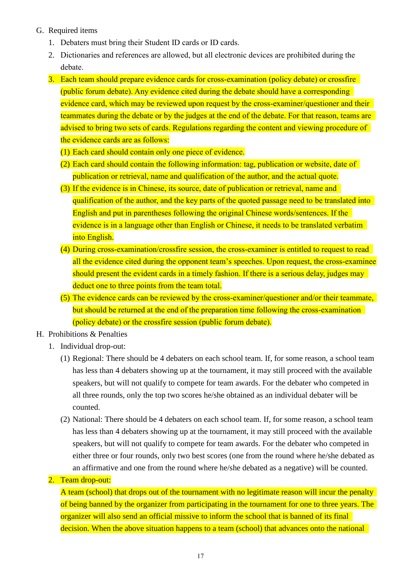- G. Required items
	- 1. Debaters must bring their Student ID cards or ID cards.
	- 2. Dictionaries and references are allowed, but all electronic devices are prohibited during the debate.
	- 3. Each team should prepare evidence cards for cross-examination (policy debate) or crossfire (public forum debate). Any evidence cited during the debate should have a corresponding evidence card, which may be reviewed upon request by the cross-examiner/questioner and their teammates during the debate or by the judges at the end of the debate. For that reason, teams are advised to bring two sets of cards. Regulations regarding the content and viewing procedure of the evidence cards are as follows:
		- (1) Each card should contain only one piece of evidence.
		- (2) Each card should contain the following information: tag, publication or website, date of publication or retrieval, name and qualification of the author, and the actual quote.
		- (3) If the evidence is in Chinese, its source, date of publication or retrieval, name and qualification of the author, and the key parts of the quoted passage need to be translated into English and put in parentheses following the original Chinese words/sentences. If the evidence is in a language other than English or Chinese, it needs to be translated verbatim into English.
		- (4) During cross-examination/crossfire session, the cross-examiner is entitled to request to read all the evidence cited during the opponent team's speeches. Upon request, the cross-examinee should present the evident cards in a timely fashion. If there is a serious delay, judges may deduct one to three points from the team total.
		- (5) The evidence cards can be reviewed by the cross-examiner/questioner and/or their teammate, but should be returned at the end of the preparation time following the cross-examination (policy debate) or the crossfire session (public forum debate).
- H. Prohibitions & Penalties
	- 1. Individual drop-out:
		- (1) Regional: There should be 4 debaters on each school team. If, for some reason, a school team has less than 4 debaters showing up at the tournament, it may still proceed with the available speakers, but will not qualify to compete for team awards. For the debater who competed in all three rounds, only the top two scores he/she obtained as an individual debater will be counted.
		- (2) National: There should be 4 debaters on each school team. If, for some reason, a school team has less than 4 debaters showing up at the tournament, it may still proceed with the available speakers, but will not qualify to compete for team awards. For the debater who competed in either three or four rounds, only two best scores (one from the round where he/she debated as an affirmative and one from the round where he/she debated as a negative) will be counted.
	- 2. Team drop-out:

A team (school) that drops out of the tournament with no legitimate reason will incur the penalty of being banned by the organizer from participating in the tournament for one to three years. The organizer will also send an official missive to inform the school that is banned of its final decision. When the above situation happens to a team (school) that advances onto the national